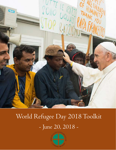

# World Refugee Day 2018 Toolkit - June 20, 2018 -

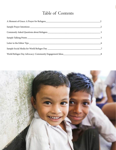# Table of Contents

| 6 |  |
|---|--|
|   |  |
|   |  |

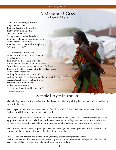# A Moment of Grace

A Prayer for Refugees

God of our Wandering Ancestors, Long have we known That your heart is with the refugee: That you were born into time In a family of refugees Fleeing violence in their homeland, Who then gathered up their hungry child And fled into alien country. Their cry, your cry, resounds through the ages: "Will you let me in?"

Give us hearts that break open When our brothers and sisters turn to us with that same cry. Then surely all these things will follow: Ears will no longer turn deaf to their voices. Eyes will see a moment for grace instead of a threat. Tongues will not be silenced but will instead advocate. And hands will reach out working for peace in their homeland, working for justice in the lands where they seek safe haven. Lord, protect all refugees in their travels. May they find a friend in me And so make me worthy Of the refuge I have found in you. AMEN

- Prayer courtesy of CRS

## Sample Prayer Intentions

CNS photo/Baz Ratner, Reuters

• For all refugees who are forced to flee from their homes, that God might bring them to a place of peace and safety, we pray to the Lord.

• For refugee children, who have been separated from their families due to difficult circumstances or death, that God will provide his protection, we pray to the Lord.

• For our bishops, that they will continue in their commitment to lead Catholic social service agencies and encourage parishes in their dioceses to both support lifesaving assistance for refugees around the world and to be active partners in refugee resettlement and provide in their communities a place of welcome, we pray to the Lord.

• For Christian faithful and all people of good will, that they might find the compassion to walk in solidarity with refugees and the courage to advocate on their behalf, we pray to the Lord.

• For U.S. and world leaders and elected officials, that they might work together to end the strife and persecution that gives rise to refugee crises, provide care and protection for refugees forced to flee, and share responsibility in helping them build new lives, we pray to the Lord.

2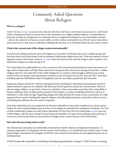# Commonly Asked Questions About Refugees

#### **Who is a refugee?**

Under U.S. law, a [refugee](http://www.unhcr.org/3b66c2aa10) is a person who is forced to flee his or her home country due to persecution or a well-founded fear of being persecuted on account of his or her nationality, race, religion, political opinion, or membership in a particular social group. Refugees do not voluntarily choose to migrate but instead do so out of immediate necessity – often in the context of civil unrest, armed conflict, or other violence motivated by one of the five factors listed above and carried out by a state actor, an individual colluding with the state, or an individual whom the state cannot control.

#### **What is the current state of the refugee system internationally?**

Current levels of displacement are some of the highest ever recorded. Worldwide, there are 65.3 million people who have been forced out of their homes (with an estimated 34,000 people displaced per day). While the majority of forced migrants remain in their home countries, 22 [million](http://www.unhcr.org/en-us/figures-at-a-glance.html.) have been forced to flee and seek refuge in other countries. Over half of these refugees are under the age of 18.

The United States has traditionally been at the cornerstone of the international humanitarian system that protects refugees who so desperately need help. Many nations have each generously welcomed an average of more than 1 million refugees. However, more than 86% of the world's refugees live in countries which struggle to afford access to basic needs for their own people. And, humanitarian needs have only increased in the last year. Since late 2017, more than 650,000 people have fled Rakhine State for Bangladesh, and over one million people have fled Venezuela.

Supporting refugees around the world by ensuring protection of funding for international humanitarian and development assistance expresses our solidarity with them and with the generous nations that welcome them. When we educate refugee children, we give them a chance to contribute to their communities and reduce their vulnerability to human trafficking. When we help parents provide for their families, we reduce the likelihood that they will turn to child labor or early child marriage. Supporting refugees also helps diminish the strain on host communities. It's vitally important that we protect funding that supports refugees, internally displaced persons, and asylum seekers overseas, and funding that addresses the root causes of migration.

Only those individuals who are considered to be the most vulnerable are referred for resettlement in a third country. Despite the extent of global displacement, less than 1% of refugees are submitted for resettlement worldwide. The United States traditionally resettles over half of these individuals. In Fiscal Year 2016, the United States [resettled](https://www.theguardian.com/us-news/2018/jan/26/trump-administration-refugees-resettlement) just over 53,000 refugees, with the most coming from the Democratic Republic of Congo, Burma, Ethiopia, Syria and Iraq. In recent years, there has also been an increased flow of refugees from Central America to the United States.

#### **How does the processing system work?**

The international community has traditionally promoted three durable solutions to displacement situations: (1) voluntary repatriation, (2) integration into the country of first asylum, or (3) resettlement into a third country. United Nations High Commissioner for Refugees (UNHCR) works to find the best solution for each displaced person on an individual basis.

UNHCR is generally responsible for identifying and designating individuals as refugees. UNHCR assists in ensuring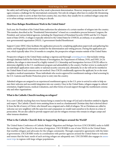the safety and well-being of refugees as they await a placement determination. However, temporary protection for refugees remains a challenge for the international community. Not only do refugees often have to endure life-threatening conditions in order to arrive at their first host country, but, once there, they usually live in confined refugee camp sites or in urban settings, sometimes for as long as a decade.

### **How Does Refugee Resettlement Work in the United States?**

Each year, the President of the United States authorizes the admission of a certain number of refugees into the country. This number, described as the "Presidential Determination" is based on a consultative process between Congress, the President, and various federal agencies, including the Department of Homeland Security (DHS) and the U.S. Department of State (DOS). A refugee is typically referred to the United States by UNHCR, an embassy, or an authorized non-governmental organization (NGO). A government-funded Resettlement

Support Center (RNC) then facilitates the application process by completing application paperwork and gathering biometric and biographical information needed for the determination and vetting process. During this application process, which typically takes 18 to 24 months to complete, the prospective refugee remains outside of the United States.

Prospective refugees to the United States undergo a rigorous and thorough [screening process](https://obamawhitehouse.archives.gov/blog/2015/11/20/infographic-screening-process-refugee-entry-united-states) that includes vetting through databases held by the Federal Bureau of Investigation, the Department of Defense, DOS, and DHS. [iv] In addition, the refugee is interviewed by a highly-trained U.S. Citizenship and Immigration Services (USCIS) officer to determine eligibility to the U.S. resettlement program and admissibility to the country. Further review is conducted if an individual's application raises safety or national security concerns and, ultimately, he or she will not be resettled in the United States if such concerns are not resolved. Once USCIS conditionally approves the applicant, he or she must complete a medical examination. Those individuals who receive approval for resettlement undergo a final screening by the U.S. Customs and Border Protection prior to entry into the country.

Admitted refugees are assigned to an experienced resettlement agency in the U.S. prior to arrival in order to help ensure their welcome and successful integration into our country. Once in the United States, refugees engage in cultural orientation, English lessons, medical evaluations, and other forms of social support through the resettlement community and other organizations.

### **What is the Catholic Church's teaching on refugees?**

It is a core Catholic teaching that every human being is created in the image of God and is therefore entitled to dignity and respect. The Catholic Church views assisting those in need as a fundamental Christian duty that is derived directly from the life of mercy of Christ, who himself was a migrant and a child of refugees. We as Christians are called to welcome our new neighbors with the same love and compassion we would want ourselves to be shown in a time of persecution. We are also called to provide support and care for refugees overseas who remain in refugee camps and other tenuous situations.

### **What is the Catholic Church's Role in Supporting Refugees around the World?**

The United States Conference of Catholic Bishops' Migration and Refugee Services (USCCB/MRS) seeks to fulfill the teachings of the Church in the arena of migration. USCCB/MRS is one of nine NGOs in the United States that resettles refugees and advocates for the refugee community. Through cooperative agreements with the federal government, USCCB/MRS works in coordination with partner agencies around the United States to welcome and ensure that the basic needs of each arriving refugee are adequately met. USCCB/MRS also engages in [assess](http://www.usccb.org/about/migration-policy/fact-finding-mission-reports/index.cfm)[ment trips](http://www.usccb.org/about/migration-policy/fact-finding-mission-reports/index.cfm) to regions with large refugee populations.

4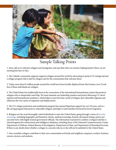

# Sample Talking Points

1. Jesus calls us to welcome refugees and immigrants, and says that when we extend a helping hand to them, we are meeting him face-to-face.

2. The Catholic community supports supports refugees around the world by advocating to protect U.S. foreign aid and a refugee program that is safe for refugees and for the communities that welcome them.

3. Today, more than 65 million people around the world have been forcibly displaced from their homes, over 22 million of these individuals are refugees.

4. The United States has traditionally been at the cornerstone of the international humanitarian system that protects refugees who so desperately need help. We must maintain our leadership position and protect lifesaving U.S. development and humanitarian assistance, which helps to meet the basic needs of refugees and vulnerable migrants and addresses the root causes of migration and displacement.

5. The U.S. refugee protection and resettlement program has enjoyed bipartisan support for over 30 years, and is a life-saving program that protects vulnerable refugees and helps to unite families fractured by forced migration.

6. Refugees are the most thoroughly vetted individuals to enter the United States, going through a series of [security](https://obamawhitehouse.archives.gov/blog/2015/11/20/infographic-screening-process-refugee-entry-united-states)  [screenings](https://obamawhitehouse.archives.gov/blog/2015/11/20/infographic-screening-process-refugee-entry-united-states), including biographic and biometric checks, medical screenings, forensic document testing, and in-person interviews with highly trained government officials. The information examined to confirm a refugee's identity is checked against law enforcement and intelligence databases, including those of the National Counterterrorism Center, Department of Defense, Federal Bureau of Investigation, Department of State, and Department of Homeland Security. If there is any doubt about whether a refugee is a security risk, he or she will not be admitted to the United States.

7. Once resettled, refugees contribute to their new communities as friends and neighbors, taxpayers, workers, business owners, doctors, and students.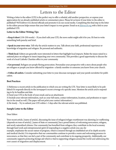### Letters to the Editor

Writing a letter to the editor (LTE) is the perfect way to offer a rebuttal, add another perspective, or express your appreciation for an already-published article or commentary piece. Please let us know if your letter to the editor is published! We'll deliver it to elected officials and promote it on our social media. Co[mpleting this fi](mailto:jfi%40usccb.org%20?subject=Published%20Letter%20to%20the%20Editor%20FYI)nal step in the letter to the editor process helps ensure that your letter's impact is even greater. Email us at  $j\hat{f}$  and  $k$  to your published LTE.

### **Letter to the Editor Writing Tips**

• **Keep it short** (150-250 words) – If you don't edit your LTE, the news outlet might edit it for you. It's best to write something both punchy and brief.

• **Speak in your own voice**. Tell why the article matters to you. Talk about your faith, professional experience or knowledge of migration and refugees. Be personal and authentic.

• **Think local**. Editors are generally more interested in letters that highlight local impacts. Relate the issues raised in a national piece on refugees to issues impacting your own community. This provides a good opportunity to discuss the work of a local Catholic Charities office in your community

• **Get personal**. Refugees are people fleeing persecution. Personalize your perspective with a story about people who are refugees or people you know affected by migration- a family member or someone you know from your church.

• **Utilize all outlets.** Consider submitting your letter to your diocesan newspaper and your parish newsletter for publication.

### **Best Practices**

1) Reference a recent article in the publication to which you are writing the LTE. Your letter is most likely to be published if it responds directly to the newspaper's recent coverage of a specific issue. Mention the article you're responding to by its headline and date.

2) Send your LTE in the body of your email, and as an attachment.

3) Include your relevant information, such as: your full name, contact information, location, and profession or expertise in the email as well. (The paper will not print your contact information.)

4) Be timely – Try to submit your LTE within 1-3 days after the relevant article was published.

### **Sample Letter to the Editor**

Dear Editor:

Your recent article, [name of article], discussing the issue of refugees/refugee resettlement was alarming [or reaffirming (depends on tone of article)]. [name of State or community] has a proud history of welcoming newcomers, refugees, and newly naturalized citizens. Our community has benefited from refugees; they contribute to the local economy through hard work and entrepreneurial spirit (if responding to a negative article you can, for example, emphasize the secure nature of program, which is ensured through an established set of in-depth [security](https://obamawhitehouse.archives.gov/blog/2015/11/20/infographic-screening-process-refugee-entry-united-states)  [and medical checks\)](https://obamawhitehouse.archives.gov/blog/2015/11/20/infographic-screening-process-refugee-entry-united-states). It is imperative that our communities continue to provide a warm and welcoming presence to newcomers, so that they can feel a part of the community and contribute to its ongoing prosperity. Additionally, our community supports protecting foreign aid which is vital to supporting refugees around the world and addressing the root causes of migration and displacement.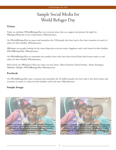# Sample Social Media for World Refugee Day

### **Twitter**

Today we celebrate #WorldRefugeeDay. Let everyone know that you support and protect the right for #RefugeesWelcome in the United States. #ShareJourney

On #WorldRefugeeDay we pause and remember the 21M people who have had to flee their countries in search of safety for their families. #ShareJourney

#Refugees are people looking for the same thing that everyone wants: happiness and a safe home for their families. #WorldRefugeeDay #ShareJourney

On #WorldRefugeeDay we remember the sacrifice those who have been forced from their homes make to seek safety for their families #ShareJourney

Don't know any #Refugees? Here are some you may know: Albert Einstein, Gloria Estefan , Henry Kissinger, Madeline Albright. #WorldRefugeeDay #ShareJourney

#### **Facebook**

On #WorldRefugeeDay take a moment and remember the 22 million people who have had to flee their homes and countries in search of safety for their families and loved ones. #ShareJourney

### **Sample Image:**



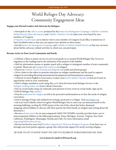# World Refugee Day Advocacy: Community Engagement Ideas

#### **Engage your Elected Leaders and Advocate for Refugees**

• *Participate* in the [calls to action](https://justiceforimmigrants.org/category/action-alerts/) produced by the [Justice for Immigrants Campaign,](http://www.justiceforimmigrants.org) [Catholics Confront](https://support.crs.org/act/share-journey-6)  [Global Poverty,](https://support.crs.org/act/share-journey-6) [Share the Journey](https://www.sharejourney.org/), and [Catholic Charities USA](https://catholiccharitiesusa.org/efforts/immigration-and-refugee-services) to make your voice heard by your members of Congress.

• [Organize or participate](https://www.confrontglobalpoverty.org/act/toolkit/) an in-district visit to your member of Congress' local office or attend one of their townhall events so that you can express your opinion on these issues.

• *Join* the [Justice for Immigrants Campaign](https://justiceforimmigrants.org/take-action/join-us/) and [Catholics Confront Global Poverty](https://www.confrontglobalpoverty.org/issues/migrant-refugees/) so that you can learn about further advocacy related activities in which you can participate.

#### **Become Active in Your Local Community and Parish**

• *Celebrate* a Mass or prayer service in your local parish on or around World Refugee Day. Focus on migration in the readings and in the intentions of the prayers of the faithful.

• *Hold* an information session or speaker panel with a refugee or immigrant member of your community or parish. Please use our [background resources](https://justiceforimmigrants.org/what-we-are-working-on/refugees/) on refugees

• *Present* on [Catholic Social Teaching and Migration](https://justiceforimmigrants.org/about-us/catholic-social-teaching/) to youth and church groups.

• *Write* a letter to the editor to promote education on refugee resettlement and the need to support refugees by providing lifesaving international development and humanitarian assistance.

• *Volunteer* to teach English to newcomers. Contact you[r local Catholic Charities](https://catholiccharitiesusa.org/find-help) to find out if such an opportunity exists in your community.

• *Hold* a refugee simulation event using this [guide](https://www.jrsusa.org/Assets/Publications/File/JRS%20Refugee%20Simulation%20Toolkit%202017%20FINAL1.pdf) from the from Jesuit Refugee Service or the [Refugees Seeking Safety tool](http://refugeesseekingsafety.org/) from Cabrini University.

• *Post* on social media using our materials; post pictures of your event on social media. Sign up for UNHCR Refugee Day [updates](http://www.unhcr.org/refugeeday/us/).

• *Pray* for [protection for refugees](https://www.jrsusa.org/assets/Publications/File/RenewingWelcomeLentforWeb.pdf) as well as for personal transformation as we face the needs of refugees everywhere.

• *Send* a message of hope and solidarity by writing a postcard to a refugee. Visit [anyrefugee.org](http://anyrefugee.org)

• *Ask* your local Catholic school recognize World Refugee Day in some way (an announcement in the morning bulleting, reciting the WRD prayer at the end of the school day before dismissal, assigning school children to discuss with their parents the Holy Family as refugees and writing about the discussion.).

• *Become* a [foster parent](http://www.usccb.org/about/children-and-migration/unaccompanied-refugee-minor-program/index.cfm) for an unaccompanied child! USCCB/MRS currently provides foster care to unaccompanied children in the following locations: Texas, Michigan, Arizona, Virginia, New York, California, Washington, Mississippi, Florida and Utah. For more information email migratingchildren@usccb.org.

• *Become* involved in your local [Parishes Organized to Welcome Refugees Program](http://www.usccb.org/about/resettlement-services/parishes-organized-to-welcome-refugees.cfm), if you have one, or through your local parish organize a group who will provide support for newly arriving refugees.

*BE SURE TO LET US KNOW WHAT YOU DID TO CELEBRATE WORLD REFUGEE DAY 2018!*

#### **Let us know by email at JFI@usccb.org**